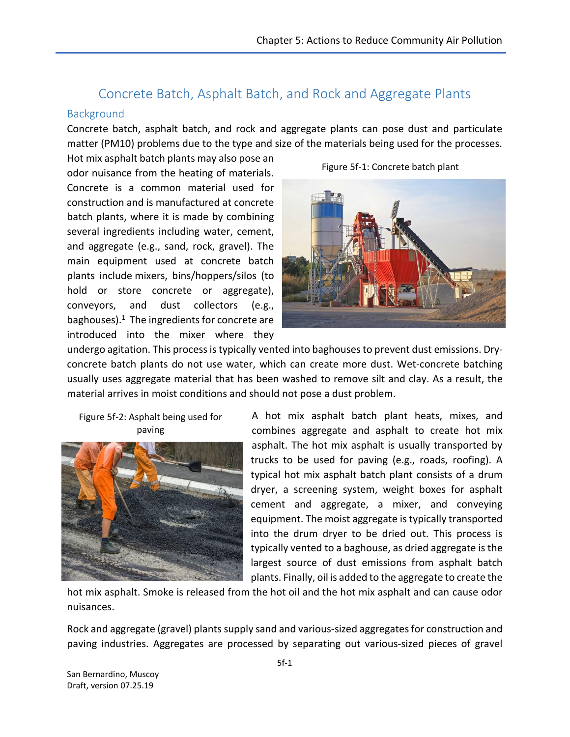# Concrete Batch, Asphalt Batch, and Rock and Aggregate Plants

#### Background

Concrete batch, asphalt batch, and rock and aggregate plants can pose dust and particulate matter (PM10) problems due to the type and size of the materials being used for the processes.

Hot mix asphalt batch plants may also pose an odor nuisance from the heating of materials. Concrete is a common material used for construction and is manufactured at concrete batch plants, where it is made by combining several ingredients including water, cement, and aggregate (e.g., sand, rock, gravel). The main equipment used at concrete batch plants include mixers, bins/hoppers/silos (to hold or store concrete or aggregate), conveyors, and dust collectors (e.g., baghouses). <sup>1</sup> The ingredients for concrete are introduced into the mixer where they



Figure 5f-1: Concrete batch plant

undergo agitation. This process is typically vented into baghouses to prevent dust emissions. Dryconcrete batch plants do not use water, which can create more dust. Wet-concrete batching usually uses aggregate material that has been washed to remove silt and clay. As a result, the material arrives in moist conditions and should not pose a dust problem.

Figure 5f-2: Asphalt being used for paving



A hot mix asphalt batch plant heats, mixes, and combines aggregate and asphalt to create hot mix asphalt. The hot mix asphalt is usually transported by trucks to be used for paving (e.g., roads, roofing). A typical hot mix asphalt batch plant consists of a drum dryer, a screening system, weight boxes for asphalt cement and aggregate, a mixer, and conveying equipment. The moist aggregate is typically transported into the drum dryer to be dried out. This process is typically vented to a baghouse, as dried aggregate is the largest source of dust emissions from asphalt batch plants. Finally, oil is added to the aggregate to create the

hot mix asphalt. Smoke is released from the hot oil and the hot mix asphalt and can cause odor nuisances.

Rock and aggregate (gravel) plants supply sand and various-sized aggregates for construction and paving industries. Aggregates are processed by separating out various-sized pieces of gravel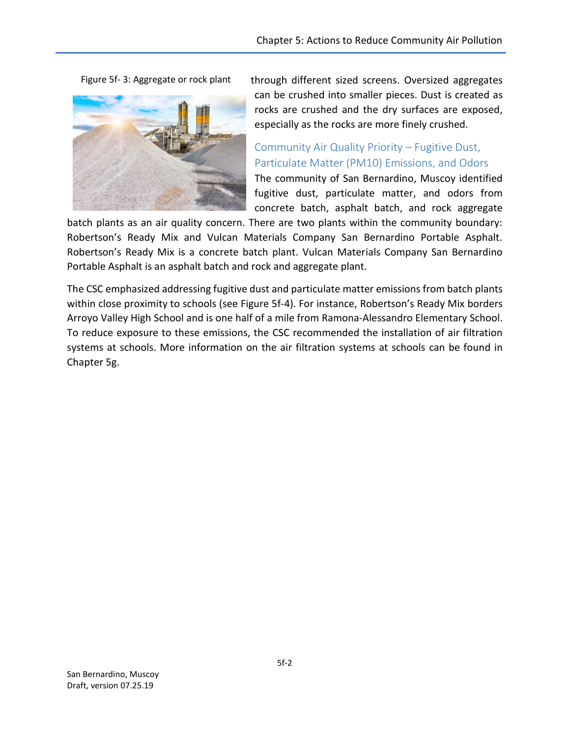Figure 5f- 3: Aggregate or rock plant



through different sized screens. Oversized aggregates can be crushed into smaller pieces. Dust is created as rocks are crushed and the dry surfaces are exposed, especially as the rocks are more finely crushed.

## Community Air Quality Priority – Fugitive Dust, Particulate Matter (PM10) Emissions, and Odors

The community of San Bernardino, Muscoy identified fugitive dust, particulate matter, and odors from concrete batch, asphalt batch, and rock aggregate

batch plants as an air quality concern. There are two plants within the community boundary: Robertson's Ready Mix and Vulcan Materials Company San Bernardino Portable Asphalt. Robertson's Ready Mix is a concrete batch plant. Vulcan Materials Company San Bernardino Portable Asphalt is an asphalt batch and rock and aggregate plant.

The CSC emphasized addressing fugitive dust and particulate matter emissions from batch plants within close proximity to schools (see Figure 5f-4). For instance, Robertson's Ready Mix borders Arroyo Valley High School and is one half of a mile from Ramona-Alessandro Elementary School. To reduce exposure to these emissions, the CSC recommended the installation of air filtration systems at schools. More information on the air filtration systems at schools can be found in Chapter 5g.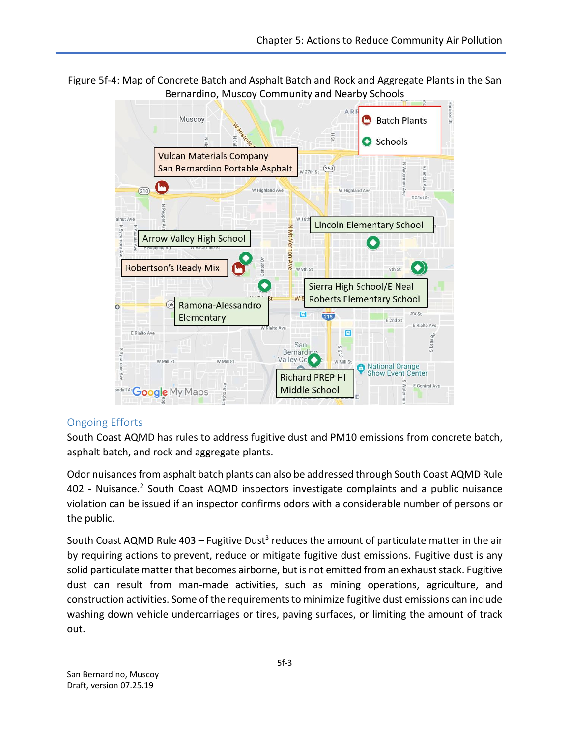Figure 5f-4: Map of Concrete Batch and Asphalt Batch and Rock and Aggregate Plants in the San Bernardino, Muscoy Community and Nearby Schools



### Ongoing Efforts

South Coast AQMD has rules to address fugitive dust and PM10 emissions from concrete batch, asphalt batch, and rock and aggregate plants.

Odor nuisances from asphalt batch plants can also be addressed through South Coast AQMD Rule 402 - Nuisance.<sup>2</sup> South Coast AQMD inspectors investigate complaints and a public nuisance violation can be issued if an inspector confirms odors with a considerable number of persons or the public.

South Coast AQMD Rule 403 – Fugitive Dust<sup>3</sup> reduces the amount of particulate matter in the air by requiring actions to prevent, reduce or mitigate fugitive dust emissions. Fugitive dust is any solid particulate matter that becomes airborne, but is not emitted from an exhaust stack. Fugitive dust can result from man-made activities, such as mining operations, agriculture, and construction activities. Some of the requirements to minimize fugitive dust emissions can include washing down vehicle undercarriages or tires, paving surfaces, or limiting the amount of track out.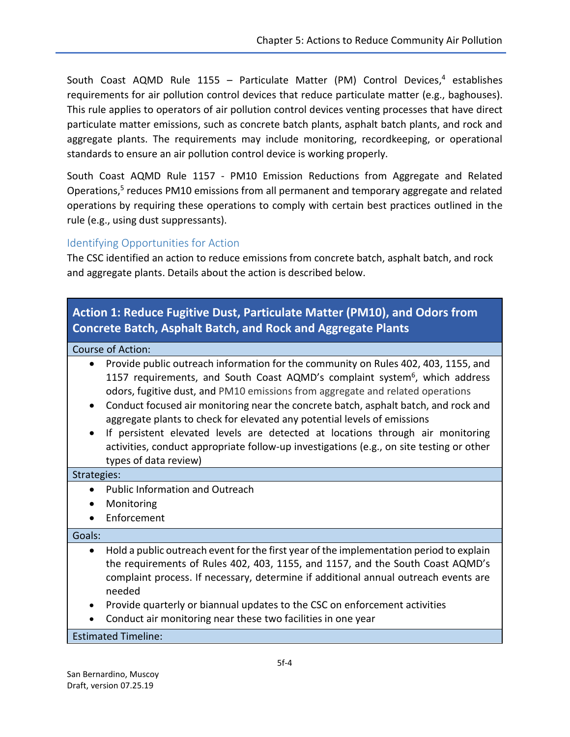South Coast AQMD Rule 1155 – Particulate Matter (PM) Control Devices, <sup>4</sup> establishes requirements for air pollution control devices that reduce particulate matter (e.g., baghouses). This rule applies to operators of air pollution control devices venting processes that have direct particulate matter emissions, such as concrete batch plants, asphalt batch plants, and rock and aggregate plants. The requirements may include monitoring, recordkeeping, or operational standards to ensure an air pollution control device is working properly.

South Coast AQMD Rule 1157 - PM10 Emission Reductions from Aggregate and Related Operations,<sup>5</sup> reduces PM10 emissions from all permanent and temporary aggregate and related operations by requiring these operations to comply with certain best practices outlined in the rule (e.g., using dust suppressants).

#### Identifying Opportunities for Action

The CSC identified an action to reduce emissions from concrete batch, asphalt batch, and rock and aggregate plants. Details about the action is described below.

## **Action 1: Reduce Fugitive Dust, Particulate Matter (PM10), and Odors from Concrete Batch, Asphalt Batch, and Rock and Aggregate Plants**

#### Course of Action:

- Provide public outreach information for the community on Rules 402, 403, 1155, and 1157 requirements, and South Coast AQMD's complaint system<sup>6</sup>, which address odors, fugitive dust, and PM10 emissions from aggregate and related operations
- Conduct focused air monitoring near the concrete batch, asphalt batch, and rock and aggregate plants to check for elevated any potential levels of emissions
- If persistent elevated levels are detected at locations through air monitoring activities, conduct appropriate follow-up investigations (e.g., on site testing or other types of data review)

#### Strategies:

- Public Information and Outreach
- Monitoring
- Enforcement

#### Goals:

- Hold a public outreach event for the first year of the implementation period to explain the requirements of Rules 402, 403, 1155, and 1157, and the South Coast AQMD's complaint process. If necessary, determine if additional annual outreach events are needed
- Provide quarterly or biannual updates to the CSC on enforcement activities
- Conduct air monitoring near these two facilities in one year

#### Estimated Timeline: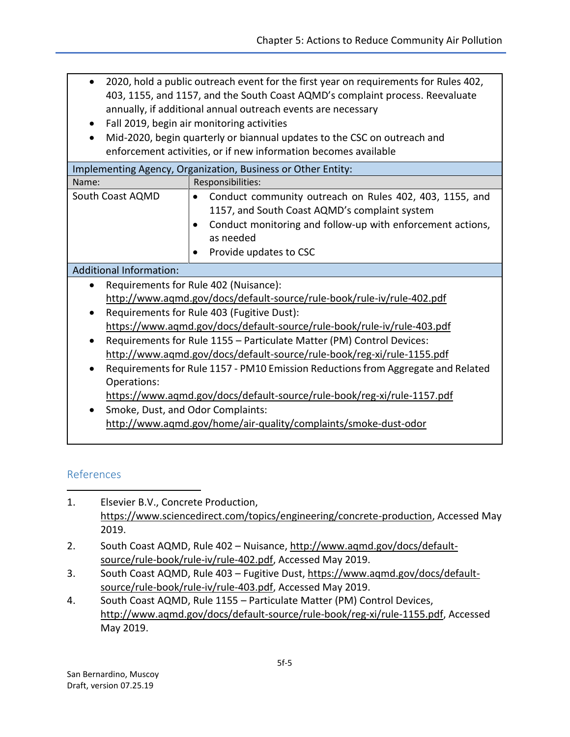- 2020, hold a public outreach event for the first year on requirements for Rules 402, 403, 1155, and 1157, and the South Coast AQMD's complaint process. Reevaluate annually, if additional annual outreach events are necessary
- Fall 2019, begin air monitoring activities
- Mid-2020, begin quarterly or biannual updates to the CSC on outreach and enforcement activities, or if new information becomes available

| Implementing Agency, Organization, Business or Other Entity:                                  |                                                                                                                                                                                                                                                      |
|-----------------------------------------------------------------------------------------------|------------------------------------------------------------------------------------------------------------------------------------------------------------------------------------------------------------------------------------------------------|
| Name:                                                                                         | Responsibilities:                                                                                                                                                                                                                                    |
| South Coast AQMD                                                                              | Conduct community outreach on Rules 402, 403, 1155, and<br>$\bullet$<br>1157, and South Coast AQMD's complaint system<br>Conduct monitoring and follow-up with enforcement actions,<br>$\bullet$<br>as needed<br>Provide updates to CSC<br>$\bullet$ |
| <b>Additional Information:</b>                                                                |                                                                                                                                                                                                                                                      |
| Requirements for Rule 402 (Nuisance):<br>$\bullet$                                            |                                                                                                                                                                                                                                                      |
| http://www.agmd.gov/docs/default-source/rule-book/rule-iv/rule-402.pdf                        |                                                                                                                                                                                                                                                      |
| Requirements for Rule 403 (Fugitive Dust):<br>٠                                               |                                                                                                                                                                                                                                                      |
| https://www.aqmd.gov/docs/default-source/rule-book/rule-iv/rule-403.pdf                       |                                                                                                                                                                                                                                                      |
| Requirements for Rule 1155 - Particulate Matter (PM) Control Devices:<br>٠                    |                                                                                                                                                                                                                                                      |
| http://www.aqmd.gov/docs/default-source/rule-book/reg-xi/rule-1155.pdf                        |                                                                                                                                                                                                                                                      |
| Requirements for Rule 1157 - PM10 Emission Reductions from Aggregate and Related<br>$\bullet$ |                                                                                                                                                                                                                                                      |
| Operations:                                                                                   |                                                                                                                                                                                                                                                      |
| https://www.aqmd.gov/docs/default-source/rule-book/reg-xi/rule-1157.pdf                       |                                                                                                                                                                                                                                                      |
| Smoke, Dust, and Odor Complaints:<br>٠                                                        |                                                                                                                                                                                                                                                      |
| http://www.aqmd.gov/home/air-quality/complaints/smoke-dust-odor                               |                                                                                                                                                                                                                                                      |

### References

 $\overline{\phantom{a}}$ 

- 1. Elsevier B.V., Concrete Production, [https://www.sciencedirect.com/topics/engineering/concrete-production,](https://www.sciencedirect.com/topics/engineering/concrete-production) Accessed May 2019.
- 2. South Coast AQMD, Rule 402 Nuisance, [http://www.aqmd.gov/docs/default](http://www.aqmd.gov/docs/default-source/rule-book/rule-iv/rule-402.pdf)[source/rule-book/rule-iv/rule-402.pdf,](http://www.aqmd.gov/docs/default-source/rule-book/rule-iv/rule-402.pdf) Accessed May 2019.
- 3. South Coast AQMD, Rule 403 Fugitive Dust, [https://www.aqmd.gov/docs/default](https://www.aqmd.gov/docs/default-source/rule-book/rule-iv/rule-403.pdf)[source/rule-book/rule-iv/rule-403.pdf,](https://www.aqmd.gov/docs/default-source/rule-book/rule-iv/rule-403.pdf) Accessed May 2019.
- 4. South Coast AQMD, Rule 1155 Particulate Matter (PM) Control Devices, [http://www.aqmd.gov/docs/default-source/rule-book/reg-xi/rule-1155.pdf,](http://www.aqmd.gov/docs/default-source/rule-book/reg-xi/rule-1155.pdf) Accessed May 2019.